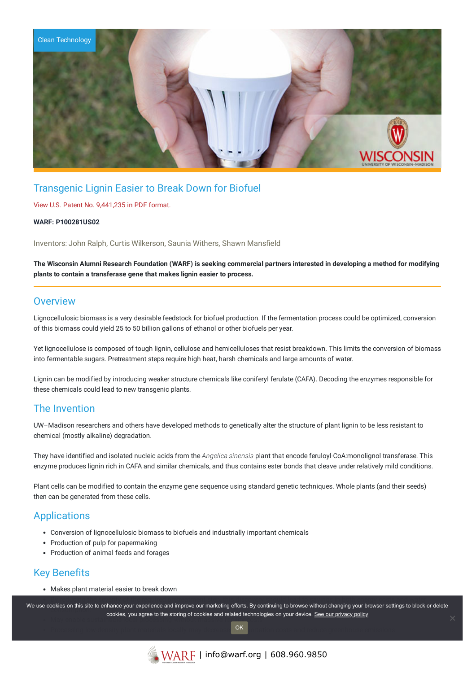

# Transgenic Lignin Easier to Break Down for Biofuel

### View U.S. Patent No. [9,441,235](https://www.warf.org/wp-content/uploads/technologies/ipstatus/P100281US02.PDF) in PDF format.

### **WARF: P100281US02**

Inventors: John Ralph, Curtis Wilkerson, Saunia Withers, Shawn Mansfield

The Wisconsin Alumni Research Foundation (WARF) is seeking commercial partners interested in developing a method for modifying **plants to contain a transferase gene that makes lignin easier to process.**

## **Overview**

Lignocellulosic biomass is a very desirable feedstock for biofuel production. If the fermentation process could be optimized, conversion of this biomass could yield 25 to 50 billion gallons of ethanol or other biofuels per year.

Yet lignocellulose is composed of tough lignin, cellulose and hemicelluloses that resist breakdown. This limits the conversion of biomass into fermentable sugars. Pretreatment steps require high heat, harsh chemicals and large amounts of water.

Lignin can be modified by introducing weaker structure chemicals like coniferyl ferulate (CAFA). Decoding the enzymes responsible for these chemicals could lead to new transgenic plants.

# The Invention

UW–Madison researchers and others have developed methods to genetically alter the structure of plant lignin to be less resistant to chemical (mostly alkaline) degradation.

They have identified and isolated nucleic acids from the *Angelica sinensis* plant that encode feruloyl-CoA:monolignol transferase. This enzyme produces lignin rich in CAFA and similar chemicals, and thus contains ester bonds that cleave under relatively mild conditions.

Plant cells can be modified to contain the enzyme gene sequence using standard genetic techniques. Whole plants (and their seeds) then can be generated from these cells.

## **Applications**

- Conversion of lignocellulosic biomass to biofuels and industrially important chemicals
- Production of pulp for papermaking
- Production of animal feeds and forages

# Key Benefits

Makes plant material easier to break down

We use cookies on this site to enhance your experience and improve our marketing efforts. By continuing to browse without changing your browser settings to block or delete cookies, you agree to the storing of cookies and related technologies on your device. <u>See our privacy policy</u><br>May enable stated to the storing of cookies and related technologies on your device. [See our privacy policy](https://www.warf.org/privacy-policy/)